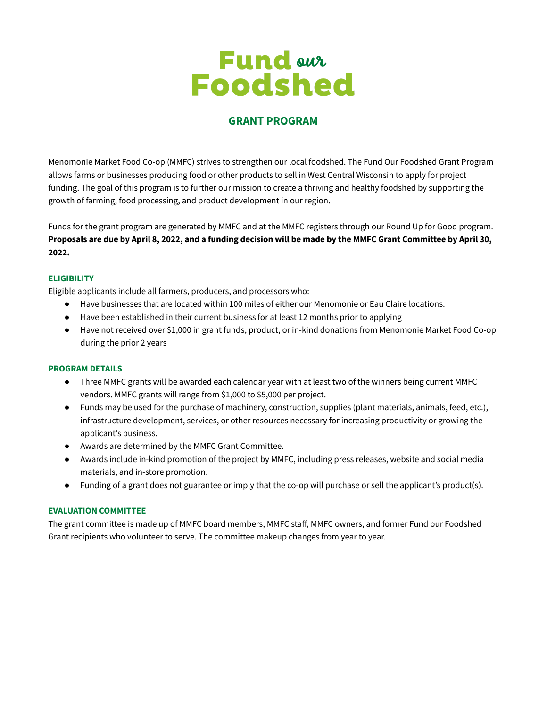# **Fund out**<br>Foodshed

# **GRANT PROGRAM**

Menomonie Market Food Co-op (MMFC) strives to strengthen our local foodshed. The Fund Our Foodshed Grant Program allows farms or businesses producing food or other products to sell in West Central Wisconsin to apply for project funding. The goal of this program is to further our mission to create a thriving and healthy foodshed by supporting the growth of farming, food processing, and product development in our region.

Funds for the grant program are generated by MMFC and at the MMFC registers through our Round Up for Good program. Proposals are due by April 8, 2022, and a funding decision will be made by the MMFC Grant Committee by April 30, **2022.**

#### **ELIGIBILITY**

Eligible applicants include all farmers, producers, and processors who:

- Have businesses that are located within 100 miles of either our Menomonie or Eau Claire locations.
- Have been established in their current business for at least 12 months prior to applying
- Have not received over \$1,000 in grant funds, product, or in-kind donations from Menomonie Market Food Co-op during the prior 2 years

#### **PROGRAM DETAILS**

- Three MMFC grants will be awarded each calendar year with at least two of the winners being current MMFC vendors. MMFC grants will range from \$1,000 to \$5,000 per project.
- Funds may be used for the purchase of machinery, construction, supplies (plant materials, animals, feed, etc.), infrastructure development, services, or other resources necessary for increasing productivity or growing the applicant's business.
- Awards are determined by the MMFC Grant Committee.
- Awards include in-kind promotion of the project by MMFC, including press releases, website and social media materials, and in-store promotion.
- Funding of a grant does not guarantee or imply that the co-op will purchase or sell the applicant's product(s).

## **EVALUATION COMMITTEE**

The grant committee is made up of MMFC board members, MMFC staff, MMFC owners, and former Fund our Foodshed Grant recipients who volunteer to serve. The committee makeup changes from year to year.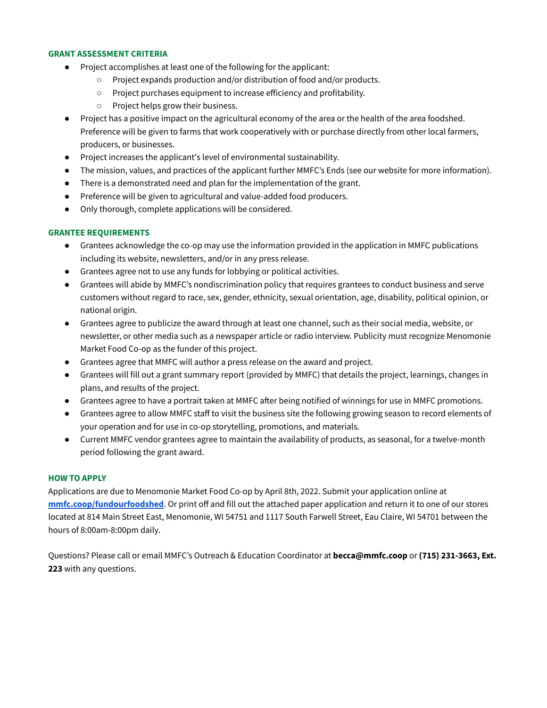#### **GRANT ASSESSMENT CRITERIA**

- Project accomplishes at least one of the following for the applicant:
	- Project expands production and/or distribution of food and/or products.
	- Project purchases equipment to increase efficiency and profitability.
	- Project helps grow their business.
- Project has a positive impact on the agricultural economy of the area or the health of the area foodshed. Preference will be given to farms that work cooperatively with or purchase directly from other local farmers, producers, or businesses.
- Project increases the applicant's level of environmental sustainability.
- The mission, values, and practices of the applicant further MMFC's Ends (see our website for more information).
- There is a demonstrated need and plan for the implementation of the grant.
- Preference will be given to agricultural and value-added food producers.
- Only thorough, complete applications will be considered.

#### **GRANTEE REQUIREMENTS**

- Grantees acknowledge the co-op may use the information provided in the application in MMFC publications including its website, newsletters, and/or in any press release.
- Grantees agree not to use any funds for lobbying or political activities.
- Grantees will abide by MMFC's nondiscrimination policy that requires grantees to conduct business and serve customers without regard to race, sex, gender, ethnicity, sexual orientation, age, disability, political opinion, or national origin.
- Grantees agree to publicize the award through at least one channel, such as their social media, website, or newsletter, or other media such as a newspaper article or radio interview. Publicity must recognize Menomonie Market Food Co-op as the funder of this project.
- Grantees agree that MMFC will author a press release on the award and project.
- Grantees will fill out a grant summary report (provided by MMFC) that details the project, learnings, changes in plans, and results of the project.
- Grantees agree to have a portrait taken at MMFC after being notified of winnings for use in MMFC promotions.
- Grantees agree to allow MMFC staff to visit the business site the following growing season to record elements of your operation and for use in co-op storytelling, promotions, and materials.
- Current MMFC vendor grantees agree to maintain the availability of products, as seasonal, for a twelve-month period following the grant award.

## **HOW TO APPLY**

Applications are due to Menomonie Market Food Co-op by April 8th, 2022. Submit your application online at **[mmfc.coop/fundourfoodshed](https://www.mmfc.coop/fundourfoodshed)**. Or print off and fill out the attached paper application and return it to one of our stores located at 814 Main Street East, Menomonie, WI 54751 and 1117 South Farwell Street, Eau Claire, WI 54701 between the hours of 8:00am-8:00pm daily.

Questions? Please call or email MMFC's Outreach & Education Coordinator at **becca@mmfc.coop** or **(715) 231-3663, Ext. 223** with any questions.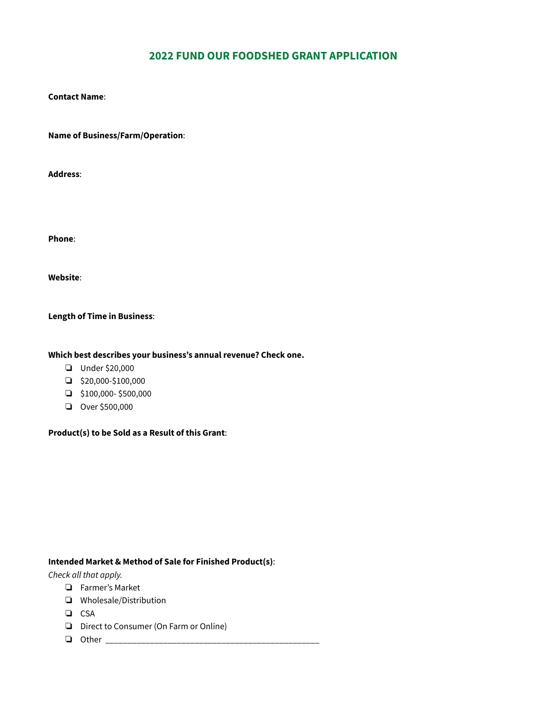# **2022 FUND OUR FOODSHED GRANT APPLICATION**

#### **Contact Name**:

**Name of Business/Farm/Operation**:

**Address**:

**Phone**:

**Website**:

#### **Length of Time in Business**:

#### **Which best describes your business's annual revenue? Check one.**

- ❏ Under \$20,000
- ❏ \$20,000-\$100,000
- ❏ \$100,000- \$500,000
- ❏ Over \$500,000

**Product(s) to be Sold as a Result of this Grant**:

#### **Intended Market & Method of Sale for Finished Product(s)**:

*Check all that apply.*

- ❏ Farmer's Market
- ❏ Wholesale/Distribution
- ❏ CSA
- ❏ Direct to Consumer (On Farm or Online)
- ❏ Other \_\_\_\_\_\_\_\_\_\_\_\_\_\_\_\_\_\_\_\_\_\_\_\_\_\_\_\_\_\_\_\_\_\_\_\_\_\_\_\_\_\_\_\_\_\_\_\_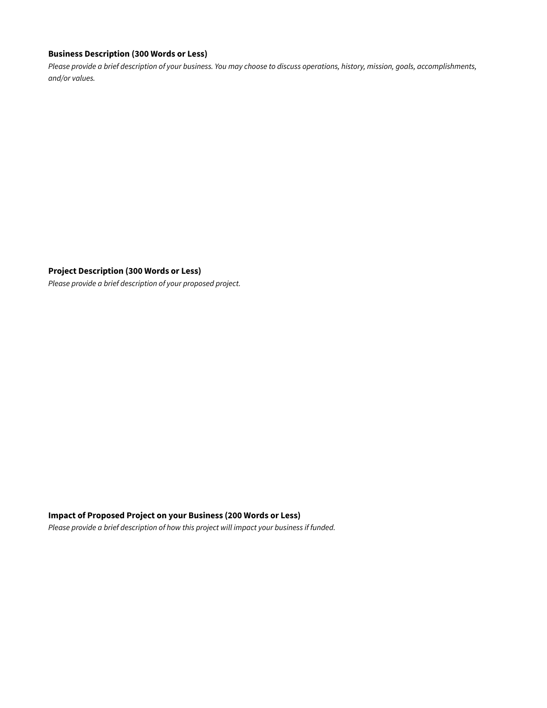## **Business Description (300 Words or Less)**

Please provide a brief description of your business. You may choose to discuss operations, history, mission, goals, accomplishments, *and/or values.*

**Project Description (300 Words or Less)**

*Please provide a brief description of your proposed project.*

#### **Impact of Proposed Project on your Business (200 Words or Less)**

*Please provide a brief description of how this project will impact your business if funded.*